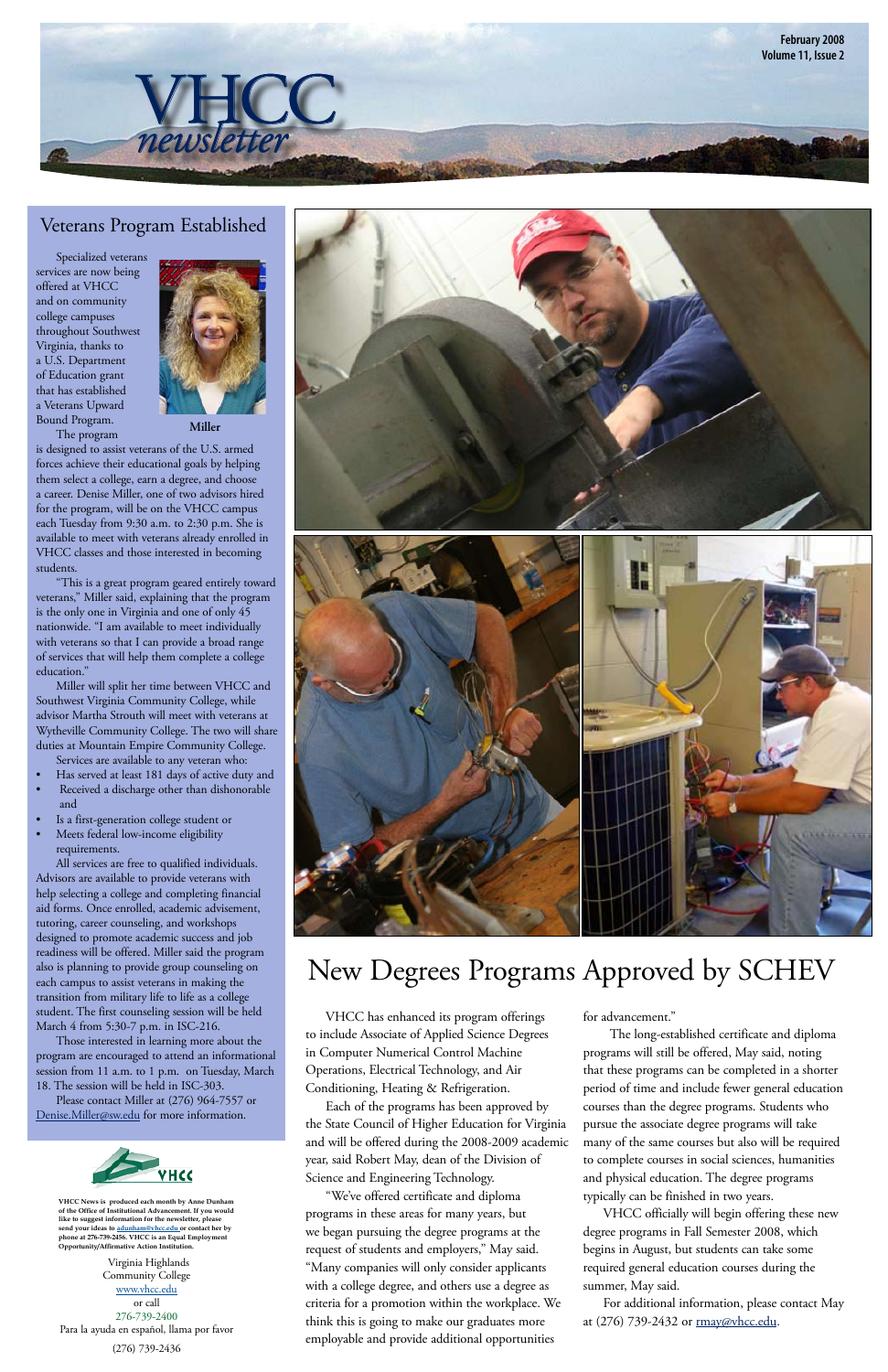## New Degrees Programs Approved by SCHEV

Specialized veterans services are now being offered at VHCC and on community college campuses throughout Southwest Virginia, thanks to a U.S. Department of Education grant that has established a Veterans Upward Bound Program.

The program

is designed to assist veterans of the U.S. armed forces achieve their educational goals by helping them select a college, earn a degree, and choose a career. Denise Miller, one of two advisors hired for the program, will be on the VHCC campus each Tuesday from 9:30 a.m. to 2:30 p.m. She is available to meet with veterans already enrolled in VHCC classes and those interested in becoming students.

"This is a great program geared entirely toward veterans," Miller said, explaining that the program is the only one in Virginia and one of only 45 nationwide. "I am available to meet individually with veterans so that I can provide a broad range of services that will help them complete a college education."

Miller will split her time between VHCC and Southwest Virginia Community College, while advisor Martha Strouth will meet with veterans at Wytheville Community College. The two will share duties at Mountain Empire Community College.

- Services are available to any veteran who:
- Has served at least 181 days of active duty and
- Received a discharge other than dishonorable and
- Is a first-generation college student or
- Meets federal low-income eligibility requirements.

All services are free to qualified individuals. Advisors are available to provide veterans with help selecting a college and completing financial aid forms. Once enrolled, academic advisement, tutoring, career counseling, and workshops designed to promote academic success and job readiness will be offered. Miller said the program also is planning to provide group counseling on each campus to assist veterans in making the transition from military life to life as a college





For additional information, please contact May at (276) 739-2432 or **rmay@vhcc.edu**.

student. The first counseling session will be held March 4 from 5:30-7 p.m. in ISC-216.

Those interested in learning more about the program are encouraged to attend an informational session from 11 a.m. to 1 p.m. on Tuesday, March 18. The session will be held in ISC-303. Please contact Miller at (276) 964-7557 or



[Denise.Miller@sw.edu fo](mailto:Denise.Miller@sw.edu)r more information.



VHCC has enhanced its program offerings to include Associate of Applied Science Degrees in Computer Numerical Control Machine Operations, Electrical Technology, and Air Conditioning, Heating & Refrigeration.

Each of the programs has been approved by the State Council of Higher Education for Virginia and will be offered during the 2008-2009 academic year, said Robert May, dean of the Division of Science and Engineering Technology.

"We've offered certificate and diploma programs in these areas for many years, but we began pursuing the degree programs at the request of students and employers," May said. "Many companies will only consider applicants with a college degree, and others use a degree as criteria for a promotion within the workplace. We think this is going to make our graduates more employable and provide additional opportunities

for advancement.'

 The long-established certificate and diploma programs will still be offered, May said, noting that these programs can be completed in a shorter period of time and include fewer general education courses than the degree programs. Students who pursue the associate degree programs will take many of the same courses but also will be required to complete courses in social sciences, humanities and physical education. The degree programs typically can be finished in two years.

VHCC officially will begin offering these new degree programs in Fall Semester 2008, which begins in August, but students can take some required general education courses during the summer, May said.

#### Veterans Program Established



Virginia Highlands Community College [www.vhcc.edu](http://www.vhcc.edu) or call 276-739-2400 Para la ayuda en español, llama por favor (276) 739-2436

**VHCC News is produced each month by Anne Dunham of the Office of Institutional Advancement. If you would like to suggest information for the newsletter, please send your ideas to [adunham@vhcc.ed](mailto:adunham@vhcc.edu)u or contact her by phone at 276-739-2456. VHCC is an Equal Employment Opportunity/Affirmative Action Institution.**